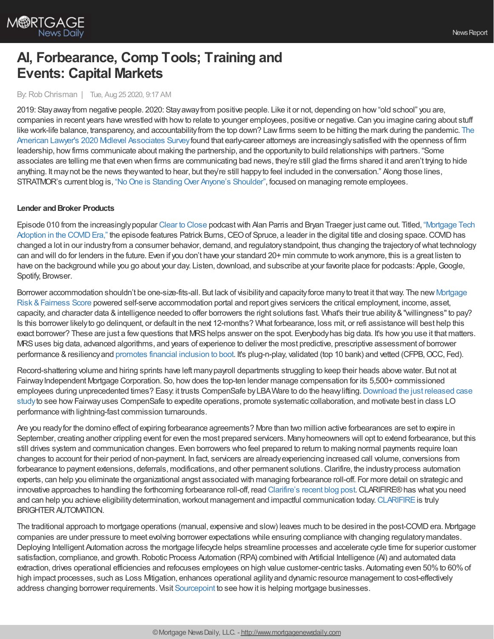

# **AI, Forbearance, Comp Tools; Training and Events: Capital Markets**

By:Rob Chrisman | Tue, Aug 25 2020, 9:17 AM

2019: Stayawayfrom negative people. 2020: Stayawayfrom positive people. Like it or not, depending on how"old school" you are, companies in recent years have wrestled with howto relate to younger employees, positive or negative.Can you imagine caring about stuff like work-life balance, transparency, and accountabilityfrom the top down? Lawfirms seem to be hitting the mark during the pandemic. The American Lawyer's 2020 Midlevel Associates Survey found that early-career attorneys are increasingly satisfied with the openness of firm leadership, howfirms communicate about making the partnership, and the opportunityto build relationships with partners. "Some associates are telling me that even when firms are communicating bad news, they're still glad the firms shared it and aren't trying to hide anything. It may not be the news they wanted to hear, but they're still happy to feel included in the conversation." Along those lines, STRATMOR's current blog is, "No One is Standing Over Anyone's Shoulder", focused on managing remote employees.

#### **Lender and Broker Products**

Episode 010 from the [increasinglypopular](http://himaxwell.com/podcast?utm_source=RC&utm_medium=RC_Content) Clear to [Close](http://himaxwell.com/podcast?utm_source=RC&utm_medium=RC_Content) podcastwith Alan Parris and Bryan Traeger just came out. Titled, "Mortgage Tech Adoption in the COVID Era," the episode features Patrick Burns, CEO of Spruce, a leader in the digital title and closing space. COVID has changed a lot in our industryfrom a consumer behavior, demand, and regulatorystandpoint, thus changing the trajectoryofwhat technology can and will do for lenders in the future. Even if you don't have your standard 20+ min commute to work anymore, this is a great listen to have on the background while you go about your day. Listen, download, and subscribe at your favorite place for podcasts: Apple, Google, Spotify, Browser.

Borrower [accommodation](https://aliyamortgage.com/mortgage-risk-score/) shouldn't be one-size-fits-all. But lack of visibility and capacity force many to treat it that way. The new Mortgage Risk &Fairness Score powered self-serve accommodation portal and report gives servicers the critical employment, income, asset, capacity, and character data &intelligence needed to offer borrowers the right solutions fast. What's their true ability&"willingness"to pay? Is this borrower likelyto go delinquent, or default in the next 12-months? What forbearance, loss mit, or refi assistance will best help this exact borrower? These are just a few questions that MRS helps answer on the spot. Everybody has big data. It's how you use it that matters. MRSuses big data, advanced algorithms, and years of experience to deliver the most predictive, prescriptive assessment of borrower performance & resiliency and [promotes](https://aliyamortgage.com/mortgage-risk-score/) financial inclusion to boot. It's plug-n-play, validated (top 10 bank) and vetted (CFPB, OCC, Fed).

Record-shattering volume and hiring sprints have left manypayroll departments struggling to keep their heads above water. But not at Fairway Independent Mortgage Corporation. So, how does the top-ten lender manage compensation for its 5,500+ commissioned employees during unprecedented times? Easy: it trusts CompenSafe by LBA Ware to do the heavy lifting. Download the just released case study to see how Fairway uses CompenSafe to expedite operations, promote systematic collaboration, and motivate best in class LO performance with lightning-fast commission turnarounds.

Are you readyfor the domino effect of expiring forbearance agreements? More than two million active forbearances are set to expire in September, creating another crippling event for even the most prepared servicers. Manyhomeowners will opt to extend forbearance, but this still drives system and communication changes. Even borrowers who feel prepared to return to making normal payments require loan changes to account for their period of non-payment. In fact, servicers are alreadyexperiencing increased call volume, conversions from forbearance to payment extensions, deferrals, modifications, and other permanent solutions. Clarifire, the industry process automation experts, can help you eliminate the organizational angst associated with managing forbearance roll-off. For more detail on strategic and innovative approaches to handling the forthcoming forbearance roll-off, read [Clarifire's](https://blog.eclarifire.com/the-great-forbearance-roll-off-is-here?utm_campaign=Chrisman%20Ads&utm_source=Chrisman%20Ads&utm_medium=Chrisman%20Ad%20-%202020-08-25) recent blog post.CLARIFIRE®has what you need and can help you achieve eligibility determination, workout management and impactful communication today. [CLARIFIRE](https://www.eclarifire.com/) is truly BRIGHTER AUTOMATION.

The traditional approach to mortgage operations (manual, expensive and slow) leaves much to be desired in the post-COVIDera. Mortgage companies are under pressure to meet evolving borrower expectations while ensuring compliance with changing regulatorymandates. Deploying Intelligent Automation across the mortgage lifecycle helps streamline processes and accelerate cycle time for superior customer satisfaction, compliance, and growth. Robotic Process Automation (RPA) combined with Artificial Intelligence (AI) and automated data extraction, drives operational efficiencies and refocuses employees on high value customer-centric tasks. Automating even 50% to 60% of high impact processes, such as Loss Mitigation, enhances operational agility and dynamic resource management to cost-effectively address changing borrower requirements. Visit [Sourcepoint](https://www.sourcepointmortgage.com/intelligent-automation-for-mortgage/) to see howit is helping mortgage businesses.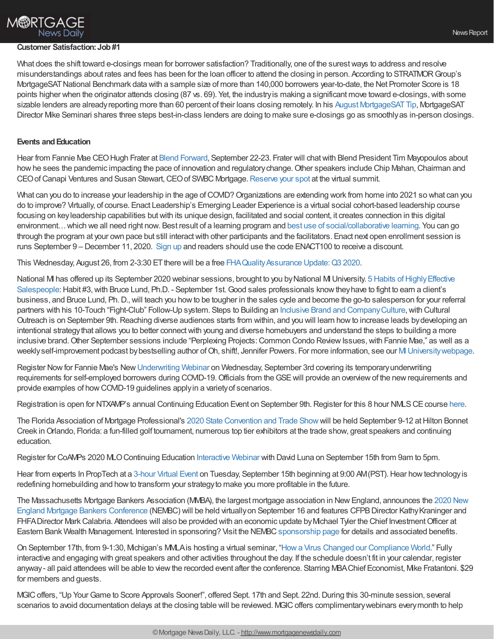## **M®RTGAGE** News Dailv

### **Customer Satisfaction:Job#1**

What does the shift toward e-closings mean for borrower satisfaction? Traditionally, one of the surestways to address and resolve misunderstandings about rates and fees has been for the loan officer to attend the closing in person. According to STRATMORGroup's MortgageSATNational Benchmark data with a sample size of more than 140,000 borrowers year-to-date, the Net Promoter Score is 18 points higher when the originator attends closing (87 vs. 69). Yet, the industryis making a significant move toward e-closings,with some sizable lenders are already reporting more than 60 percent of their loans closing remotely. In his August MortgageSAT Tip, MortgageSAT Director Mike Seminari shares three steps best-in-class lenders are doing to make sure e-closings go as smoothlyas in-person closings.

#### **Events** and **Education**

Hear from Fannie Mae CEOHugh Frater at Blend [Forward](https://forward.blend.com/e/m25t52/?utm_source=chrisman&utm_medium=newsletter&utm_campaign=forwardreg), September 22-23. Frater will chatwith Blend President Tim Mayopoulos about how he sees the pandemic impacting the pace of innovation and regulatory change. Other speakers include Chip Mahan, Chairman and CEO of Canapi Ventures and Susan Stewart, CEO of SWBC Mortgage. [Reserve](https://forward.blend.com/e/m25t52/?utm_source=chrisman&utm_medium=newsletter&utm_campaign=forwardreg) your spot at the virtual summit.

What can you do to increase your leadership in the age of COVID? Organizations are extending work from home into 2021 so what can you do to improve? Virtually, of course. Enact Leadership's Emerging Leader Experience is a virtual social cohort-based leadership course focusing on keyleadership capabilities butwith its unique design, facilitated and social content, it creates connection in this digital environment…which we all need right now. Best result of a learning program and best use of [social/collaborative](https://www.linkedin.com/feed/update/urn:li:activity:6702318415224426496) learning. You can go through the program at your own pace but still interactwith other participants and the facilitators. Enact next open enrollment session is runs September 9 – December 11, 2020. [Sign](https://enactleadership.com/digital-learning/) up and readers should use the code ENACT100 to receive a discount.

This Wednesday, August 26, from 2-3:30 ET there will be a free FHA Quality Assurance Update: Q3 2020.

National MI has offered up its September 2020 webinar sessions, brought to you by National MI University. 5 Habits of Highly Effective Salespeople: Habit #3, with Bruce Lund, Ph.D. - September 1st. Good sales professionals know they have to fight to earn a client's business, and Bruce Lund, Ph.D.,will teach you howto be tougher in the sales cycle and become the go-to salesperson for your referral partners with his 10-Touch "Fight-Club" Follow-Up system. Steps to Building an Inclusive Brand and Company Culture, with Cultural Outreach is on September 9th. Reaching diverse audiences starts from within, and you will learn how to increase leads by developing an intentional strategythat allows you to better connectwith young and diverse homebuyers and understand the steps to building a more inclusive brand. Other September sessions include "Perplexing Projects: Common Condo Review Issues, with Fannie Mae," as well as a weekly self-improvement podcast by bestselling author of Oh, shift!, Jennifer Powers. For more information, see our MI University webpage.

Register Now for Fannie Mae's New [Underwriting](https://events-na13.adobeconnect.com/content/connect/c1/2159008732/en/events/event/shared/default_template/event_landing.html?connect-session=na13breezetzbcus29oiika2m&sco-id=8445182045&_charset_=utf-8) Webinar on Wednesday, September 3rd covering its temporary underwriting requirements for self-employed borrowers during COVID-19. Officials from the GSE will provide an overview of the new requirements and provide examples of howCOVID-19 guidelines applyin a varietyof scenarios.

Registration is open for NTXAMP's annual Continuing Education Event on September 9th. Register for this 8 hour NMLS CE course [here](https://ntxamp.brushfire.com/events/465174).

The Florida Association of Mortgage Professional's 2020 State [Convention](https://mms.ourfamp.org/members/evr/reg_event.php?evid=20027037&orgcode=FAMP) and Trade Show will be held September 9-12 at Hilton Bonnet Creek inOrlando, Florida: a fun-filled golf tournament, numerous top tier exhibitors at the trade show, great speakers and continuing education.

Register for CoAMPs 2020 MLOContinuing Education [Interactive](http://coamp.wildapricot.org/event-3884119) Webinar with David Luna on September 15th from 9am to 5pm.

Hear from experts In PropTech at a [3-hour](https://www.builderproptech.com/?utm_source=marketing_email&utm_medium=email_campaign&utm_campaign=proptech) Virtual Event on Tuesday, September 15th beginning at 9:00 AM(PST). Hear how technology is redefining homebuilding and howto transform your strategyto make you more profitable in the future.

The Massachusetts Mortgage Bankers Association (MMBA), the largest mortgage association in NewEngland, announces the 2020 New England Mortgage Bankers Conference (NEMBC) will be held virtually on September 16 and features CFPB Director Kathy Kraninger and FHFA Director Mark Calabria. Attendees will also be provided with an economic update by Michael Tyler the Chief Investment Officer at Eastern Bank Wealth Management. Interested in sponsoring? Visit the NEMBC [sponsorship](https://www.massmba.com/i4a/pages/index.cfm?pageid=4356) page for details and associated benefits.

On September 17th, from 9-1:30, Michigan's MMLAis hosting a virtual seminar, "Howa Virus Changed our [Compliance](https://mmla.net/meet-reg1.php?mi=1457006&id=199) World." Fully interactive and engaging with great speakers and other activities throughout the day. If the schedule doesn't fit in your calendar, register anyway- all paid attendees will be able to viewthe recorded event after the conference. Starring MBAChief Economist, Mike Fratantoni. \$29 for members and guests.

MGIC offers, "Up Your Game to Score Approvals Sooner!", offered Sept. 17th and Sept. 22nd. During this 30-minute session, several scenarios to avoid documentation delays at the closing table will be reviewed. MGIC offers complimentary webinars every month to help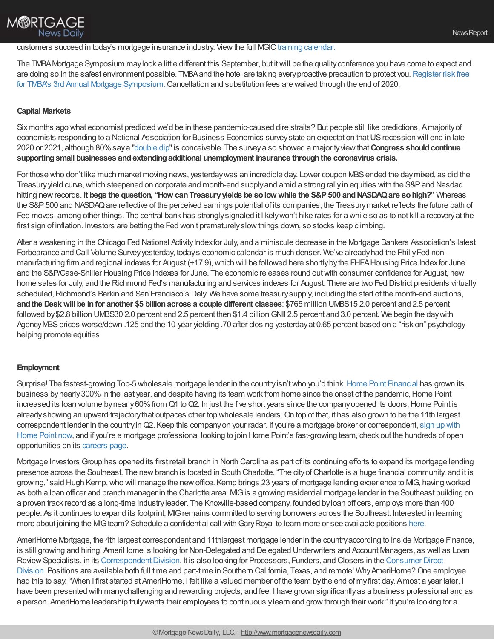### customers succeed in today's mortgage insurance industry. View the full MGIC training [calendar.](https://www.mgic.com/training)

The TMBAMortgage Symposium maylook a little different this September, but itwill be the qualityconference you have come to expect and are doing so in the safest environment possible. TMBA and the hotel are taking every proactive precaution to protect you. Register risk free for TMBA's 3rd Annual Mortgage Symposium. Cancellation and substitution fees are waived through the end of 2020.

#### **Capital Markets**

M®RTGAGE

**News Daily** 

Sixmonths ago what economist predicted we'd be in these pandemic-caused dire straits? But people still like predictions. Amajorityof economists responding to a National Association for Business Economics surveystate an expectation thatUSrecession will end in late 2020 or 2021, although 80%saya ["double](https://www.bloomberg.com/news/articles/2020-08-24/most-in-nabe-survey-see-u-s-recession-ending-late-2020-2021?sref=A5V34YTj) dip"is conceivable. The surveyalso showed a majorityviewthat**Congress shouldcontinue supportingsmall businesses andextendingadditional unemployment insurance throughthe coronavirus crisis.**

For those who don't like much market moving news, yesterdaywas an incredible day. Lower coupon MBSended the daymixed, as did the Treasury yield curve, which steepened on corporate and month-end supply and amid a strong rally in equities with the S&P and Nasdag hitting newrecords. **It begs the question, "How canTreasuryyields be solow while the S&P500 andNASDAQare sohigh?"** Whereas the S&P 500 and NASDAQ are reflective of the perceived earnings potential of its companies, the Treasury market reflects the future path of Fed moves, among other things. The central bank has stronglysignaled it likelywon't hike rates for a while so as to not kill a recoveryat the first sign of inflation. Investors are betting the Fed won't prematurelyslowthings down, so stocks keep climbing.

After a weakening in the Chicago Fed National Activity Index for July, and a miniscule decrease in the Mortgage Bankers Association's latest Forbearance and Call Volume Survey yesterday, today's economic calendar is much denser. We've already had the Philly Fed nonmanufacturing firm and regional indexes for August (+17.9), which will be followed here shortly by the FHFA Housing Price Index for June and the S&P/Case-Shiller Housing Price Indexes for June. The economic releases round outwith consumer confidence for August, new home sales for July, and the Richmond Fed's manufacturing and services indexes for August. There are two Fed District presidents virtually scheduled, Richmond's Barkin and San Francisco's Daly. We have some treasury supply, including the start of the month-end auctions, **andthe Deskwill be infor another \$5 billionacross a couple different classes**: \$765 million UMBS15 2.0 percent and 2.5 percent followed by \$2.8 billion UMBS30 2.0 percent and 2.5 percent then \$1.4 billion GNII 2.5 percent and 3.0 percent. We begin the day with Agency MBS prices worse/down .125 and the 10-year yielding .70 after closing yesterday at 0.65 percent based on a "risk on" psychology helping promote equities.

#### **Employment**

Surprise! The fastest-growing Top-5 wholesale mortgage lender in the country isn't who you'd think. Home Point [Financial](https://www.homepointfinancial.com/) has grown its business by nearly 300% in the last year, and despite having its team work from home since the onset of the pandemic, Home Point increased its loan volume by nearly 60% from Q1 to Q2. In just the five short years since the company opened its doors, Home Point is already showing an upward trajectory that outpaces other top wholesale lenders. On top of that, it has also grown to be the 11th largest correspondent lender in the country in Q2. Keep this company on your radar. If you're a mortgage broker or [correspondent,](https://tpo.homepointfinancial.com/) sign up with Home Point now, and if you're a mortgage professional looking to join Home Point's fast-growing team, check out the hundreds of open opportunities on its [careers](https://www.homepointfinancial.com/careers) page.

Mortgage Investors Group has opened its first retail branch in North Carolina as part of its continuing efforts to expand its mortgage lending presence across the Southeast. The new branch is located in South Charlotte. "The city of Charlotte is a huge financial community, and it is growing," said Hugh Kemp, who will manage the new office. Kemp brings 23 years of mortgage lending experience to MG, having worked as both a loan officer and branch manager in the Charlotte area. MG is a growing residential mortgage lender in the Southeast building on a proven track record as a long-time industryleader. The Knoxville-based company, founded byloan officers, employs more than 400 people. As it continues to expand its footprint, MIGremains committed to serving borrowers across the Southeast. Interested in learning more about joining the MG team? Schedule a confidential call with Gary Royal to learn more or see available positions [here.](https://bit.ly/32kdo8p)

AmeriHome Mortgage, the 4th largest correspondent and 11thlargest mortgage lender in the countryaccording to Inside Mortgage Finance, is still growing and hiring! AmeriHome is looking for Non-Delegated and Delegated Underwriters and Account Managers, as well as Loan Review Specialists, in its Correspondent Division. It is also looking for Processors, Funders, and Closers in the Consumer Direct Division. Positions are available both full time and part-time in Southern California, Texas, and remote! Why AmeriHome? One employee had this to say: "When I first started at AmeriHome, I felt like a valued member of the team by the end of my first day. Almost a year later, I have been presented with manychallenging and rewarding projects, and feel I have grown significantlyas a business professional and as a person. AmeriHome leadership trulywants their employees to continuouslylearn and growthrough their work." If you're looking for a